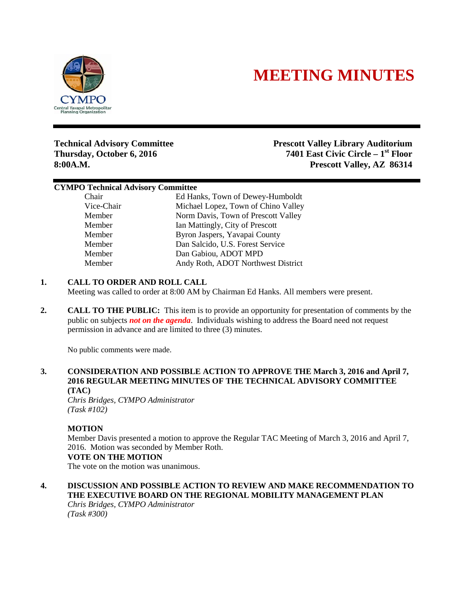

# **MEETING MINUTES**

**Technical Advisory Committee Prescott Valley Library Auditorium Thursday, October 6, 2016 7401 East Civic Circle – 1st Floor 8:00A.M. Prescott Valley, AZ 86314**

## **CYMPO Technical Advisory Committee**

Chair Ed Hanks, Town of Dewey-Humboldt Vice-Chair Michael Lopez, Town of Chino Valley Member Norm Davis, Town of Prescott Valley Member Ian Mattingly, City of Prescott Member Byron Jaspers, Yavapai County Member Dan Salcido, U.S. Forest Service Member Dan Gabiou, ADOT MPD Member Andy Roth, ADOT Northwest District

# **1. CALL TO ORDER AND ROLL CALL**

Meeting was called to order at 8:00 AM by Chairman Ed Hanks. All members were present.

**2. CALL TO THE PUBLIC:** This item is to provide an opportunity for presentation of comments by the public on subjects *not on the agenda*. Individuals wishing to address the Board need not request permission in advance and are limited to three (3) minutes.

No public comments were made.

# **3. CONSIDERATION AND POSSIBLE ACTION TO APPROVE THE March 3, 2016 and April 7, 2016 REGULAR MEETING MINUTES OF THE TECHNICAL ADVISORY COMMITTEE (TAC)**

*Chris Bridges, CYMPO Administrator (Task #102)*

## **MOTION**

Member Davis presented a motion to approve the Regular TAC Meeting of March 3, 2016 and April 7, 2016. Motion was seconded by Member Roth.

## **VOTE ON THE MOTION**

The vote on the motion was unanimous.

**4. DISCUSSION AND POSSIBLE ACTION TO REVIEW AND MAKE RECOMMENDATION TO THE EXECUTIVE BOARD ON THE REGIONAL MOBILITY MANAGEMENT PLAN** *Chris Bridges, CYMPO Administrator*

*(Task #300)*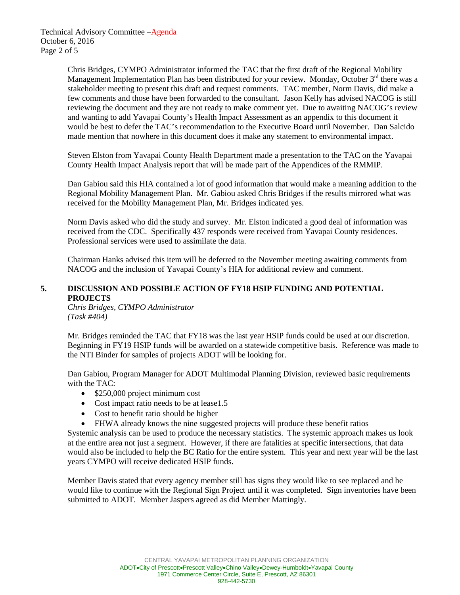Chris Bridges, CYMPO Administrator informed the TAC that the first draft of the Regional Mobility Management Implementation Plan has been distributed for your review. Monday, October 3<sup>rd</sup> there was a stakeholder meeting to present this draft and request comments. TAC member, Norm Davis, did make a few comments and those have been forwarded to the consultant. Jason Kelly has advised NACOG is still reviewing the document and they are not ready to make comment yet. Due to awaiting NACOG's review and wanting to add Yavapai County's Health Impact Assessment as an appendix to this document it would be best to defer the TAC's recommendation to the Executive Board until November. Dan Salcido made mention that nowhere in this document does it make any statement to environmental impact.

Steven Elston from Yavapai County Health Department made a presentation to the TAC on the Yavapai County Health Impact Analysis report that will be made part of the Appendices of the RMMIP.

Dan Gabiou said this HIA contained a lot of good information that would make a meaning addition to the Regional Mobility Management Plan. Mr. Gabiou asked Chris Bridges if the results mirrored what was received for the Mobility Management Plan, Mr. Bridges indicated yes.

Norm Davis asked who did the study and survey. Mr. Elston indicated a good deal of information was received from the CDC. Specifically 437 responds were received from Yavapai County residences. Professional services were used to assimilate the data.

Chairman Hanks advised this item will be deferred to the November meeting awaiting comments from NACOG and the inclusion of Yavapai County's HIA for additional review and comment.

# **5. DISCUSSION AND POSSIBLE ACTION OF FY18 HSIP FUNDING AND POTENTIAL PROJECTS**

*Chris Bridges, CYMPO Administrator (Task #404)*

Mr. Bridges reminded the TAC that FY18 was the last year HSIP funds could be used at our discretion. Beginning in FY19 HSIP funds will be awarded on a statewide competitive basis. Reference was made to the NTI Binder for samples of projects ADOT will be looking for.

Dan Gabiou, Program Manager for ADOT Multimodal Planning Division, reviewed basic requirements with the TAC:

- \$250,000 project minimum cost
- Cost impact ratio needs to be at lease 1.5
- Cost to benefit ratio should be higher
- FHWA already knows the nine suggested projects will produce these benefit ratios

Systemic analysis can be used to produce the necessary statistics. The systemic approach makes us look at the entire area not just a segment. However, if there are fatalities at specific intersections, that data would also be included to help the BC Ratio for the entire system. This year and next year will be the last years CYMPO will receive dedicated HSIP funds.

Member Davis stated that every agency member still has signs they would like to see replaced and he would like to continue with the Regional Sign Project until it was completed. Sign inventories have been submitted to ADOT. Member Jaspers agreed as did Member Mattingly.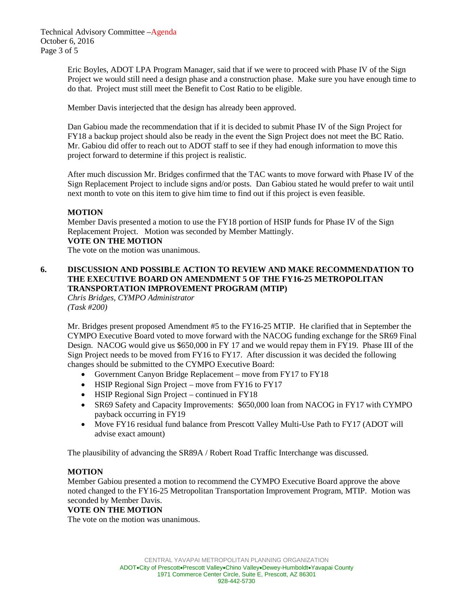Eric Boyles, ADOT LPA Program Manager, said that if we were to proceed with Phase IV of the Sign Project we would still need a design phase and a construction phase. Make sure you have enough time to do that. Project must still meet the Benefit to Cost Ratio to be eligible.

Member Davis interjected that the design has already been approved.

Dan Gabiou made the recommendation that if it is decided to submit Phase IV of the Sign Project for FY18 a backup project should also be ready in the event the Sign Project does not meet the BC Ratio. Mr. Gabiou did offer to reach out to ADOT staff to see if they had enough information to move this project forward to determine if this project is realistic.

After much discussion Mr. Bridges confirmed that the TAC wants to move forward with Phase IV of the Sign Replacement Project to include signs and/or posts. Dan Gabiou stated he would prefer to wait until next month to vote on this item to give him time to find out if this project is even feasible.

# **MOTION**

Member Davis presented a motion to use the FY18 portion of HSIP funds for Phase IV of the Sign Replacement Project. Motion was seconded by Member Mattingly.

## **VOTE ON THE MOTION**

The vote on the motion was unanimous.

# **6. DISCUSSION AND POSSIBLE ACTION TO REVIEW AND MAKE RECOMMENDATION TO THE EXECUTIVE BOARD ON AMENDMENT 5 OF THE FY16-25 METROPOLITAN TRANSPORTATION IMPROVEMENT PROGRAM (MTIP)**

*Chris Bridges, CYMPO Administrator (Task #200)*

Mr. Bridges present proposed Amendment #5 to the FY16-25 MTIP. He clarified that in September the CYMPO Executive Board voted to move forward with the NACOG funding exchange for the SR69 Final Design. NACOG would give us \$650,000 in FY 17 and we would repay them in FY19. Phase III of the Sign Project needs to be moved from FY16 to FY17. After discussion it was decided the following changes should be submitted to the CYMPO Executive Board:

- Government Canyon Bridge Replacement move from FY17 to FY18
- HSIP Regional Sign Project move from FY16 to FY17
- HSIP Regional Sign Project continued in FY18
- SR69 Safety and Capacity Improvements: \$650,000 loan from NACOG in FY17 with CYMPO payback occurring in FY19
- Move FY16 residual fund balance from Prescott Valley Multi-Use Path to FY17 (ADOT will advise exact amount)

The plausibility of advancing the SR89A / Robert Road Traffic Interchange was discussed.

## **MOTION**

Member Gabiou presented a motion to recommend the CYMPO Executive Board approve the above noted changed to the FY16-25 Metropolitan Transportation Improvement Program, MTIP. Motion was seconded by Member Davis.

## **VOTE ON THE MOTION**

The vote on the motion was unanimous.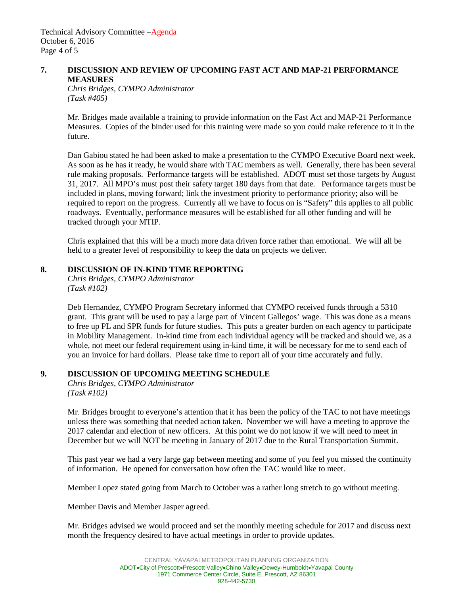Technical Advisory Committee –Agenda October 6, 2016 Page 4 of 5

## **7. DISCUSSION AND REVIEW OF UPCOMING FAST ACT AND MAP-21 PERFORMANCE MEASURES**

*Chris Bridges, CYMPO Administrator (Task #405)*

Mr. Bridges made available a training to provide information on the Fast Act and MAP-21 Performance Measures. Copies of the binder used for this training were made so you could make reference to it in the future.

Dan Gabiou stated he had been asked to make a presentation to the CYMPO Executive Board next week. As soon as he has it ready, he would share with TAC members as well. Generally, there has been several rule making proposals. Performance targets will be established. ADOT must set those targets by August 31, 2017. All MPO's must post their safety target 180 days from that date. Performance targets must be included in plans, moving forward; link the investment priority to performance priority; also will be required to report on the progress. Currently all we have to focus on is "Safety" this applies to all public roadways. Eventually, performance measures will be established for all other funding and will be tracked through your MTIP.

Chris explained that this will be a much more data driven force rather than emotional. We will all be held to a greater level of responsibility to keep the data on projects we deliver.

## **8. DISCUSSION OF IN-KIND TIME REPORTING**

*Chris Bridges, CYMPO Administrator (Task #102)*

Deb Hernandez, CYMPO Program Secretary informed that CYMPO received funds through a 5310 grant. This grant will be used to pay a large part of Vincent Gallegos' wage. This was done as a means to free up PL and SPR funds for future studies. This puts a greater burden on each agency to participate in Mobility Management. In-kind time from each individual agency will be tracked and should we, as a whole, not meet our federal requirement using in-kind time, it will be necessary for me to send each of you an invoice for hard dollars. Please take time to report all of your time accurately and fully.

# **9. DISCUSSION OF UPCOMING MEETING SCHEDULE**

*Chris Bridges, CYMPO Administrator (Task #102)*

Mr. Bridges brought to everyone's attention that it has been the policy of the TAC to not have meetings unless there was something that needed action taken. November we will have a meeting to approve the 2017 calendar and election of new officers. At this point we do not know if we will need to meet in December but we will NOT be meeting in January of 2017 due to the Rural Transportation Summit.

This past year we had a very large gap between meeting and some of you feel you missed the continuity of information. He opened for conversation how often the TAC would like to meet.

Member Lopez stated going from March to October was a rather long stretch to go without meeting.

Member Davis and Member Jasper agreed.

Mr. Bridges advised we would proceed and set the monthly meeting schedule for 2017 and discuss next month the frequency desired to have actual meetings in order to provide updates.